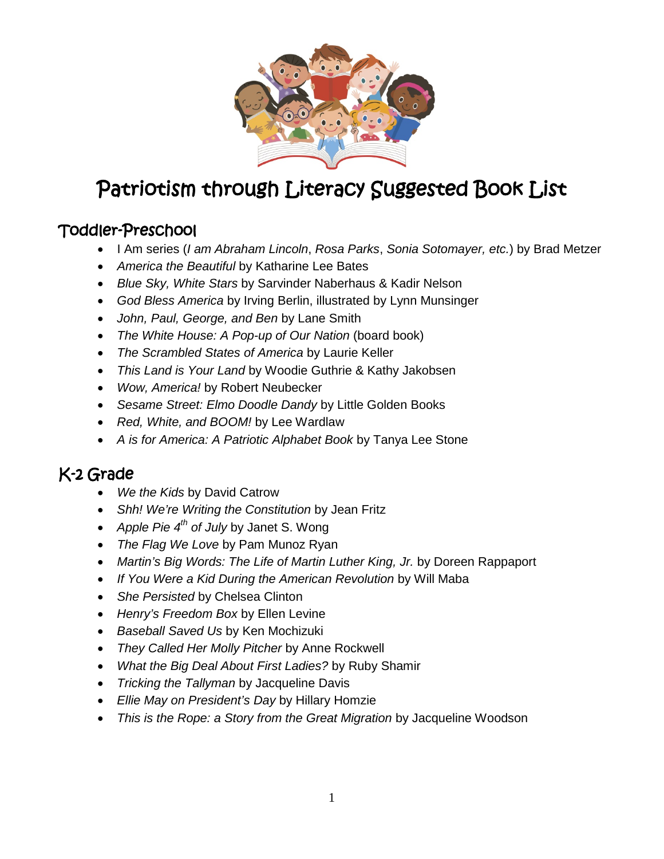

# Patriotism through Literacy Suggested Book List

### Toddler-Preschool

- I Am series (*I am Abraham Lincoln*, *Rosa Parks*, *Sonia Sotomayer, etc.*) by Brad Metzer
- *America the Beautiful* by Katharine Lee Bates
- *Blue Sky, White Stars* by Sarvinder Naberhaus & Kadir Nelson
- *God Bless America* by Irving Berlin, illustrated by Lynn Munsinger
- *John, Paul, George, and Ben* by Lane Smith
- *The White House: A Pop-up of Our Nation* (board book)
- *The Scrambled States of America* by Laurie Keller
- *This Land is Your Land* by Woodie Guthrie & Kathy Jakobsen
- *Wow, America!* by Robert Neubecker
- *Sesame Street: Elmo Doodle Dandy* by Little Golden Books
- *Red, White, and BOOM!* by Lee Wardlaw
- *A is for America: A Patriotic Alphabet Book* by Tanya Lee Stone

### K-2 Grade

- *We the Kids* by David Catrow
- *Shh! We're Writing the Constitution* by Jean Fritz
- *Apple Pie 4th of July* by Janet S. Wong
- *The Flag We Love* by Pam Munoz Ryan
- Martin's Big Words: The Life of Martin Luther King, Jr. by Doreen Rappaport
- *If You Were a Kid During the American Revolution* by Will Maba
- *She Persisted* by Chelsea Clinton
- *Henry's Freedom Box* by Ellen Levine
- *Baseball Saved Us* by Ken Mochizuki
- *They Called Her Molly Pitcher* by Anne Rockwell
- *What the Big Deal About First Ladies?* by Ruby Shamir
- *Tricking the Tallyman* by Jacqueline Davis
- *Ellie May on President's Day* by Hillary Homzie
- *This is the Rope: a Story from the Great Migration* by Jacqueline Woodson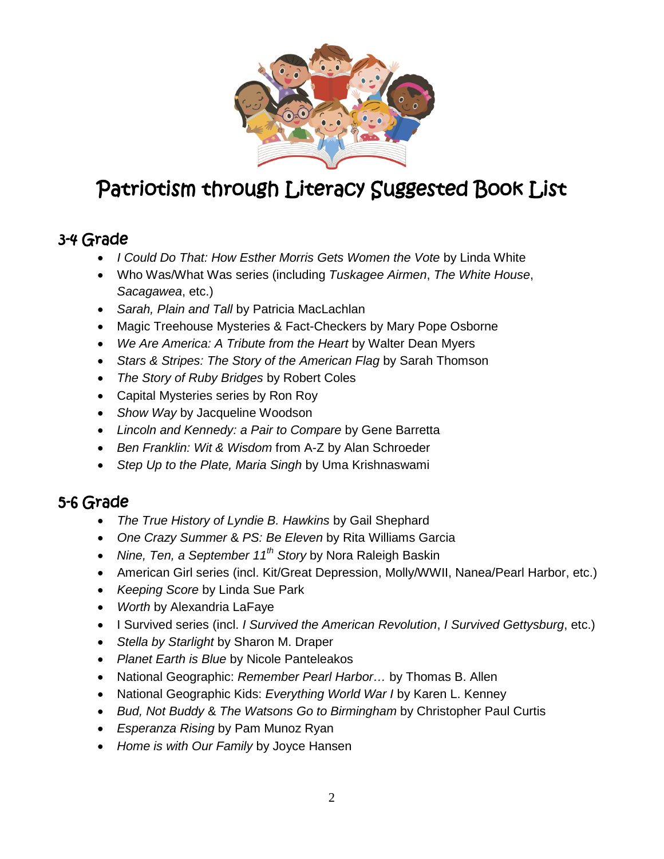

# Patriotism through Literacy Suggested Book List

#### 3-4 Grade

- *I Could Do That: How Esther Morris Gets Women the Vote* by Linda White
- Who Was/What Was series (including *Tuskagee Airmen*, *The White House*, *Sacagawea*, etc.)
- *Sarah, Plain and Tall* by Patricia MacLachlan
- Magic Treehouse Mysteries & Fact-Checkers by Mary Pope Osborne
- *We Are America: A Tribute from the Heart* by Walter Dean Myers
- *Stars & Stripes: The Story of the American Flag* by Sarah Thomson
- *The Story of Ruby Bridges* by Robert Coles
- Capital Mysteries series by Ron Roy
- *Show Way* by Jacqueline Woodson
- *Lincoln and Kennedy: a Pair to Compare* by Gene Barretta
- *Ben Franklin: Wit & Wisdom* from A-Z by Alan Schroeder
- *Step Up to the Plate, Maria Singh* by Uma Krishnaswami

### 5-6 Grade

- *The True History of Lyndie B. Hawkins* by Gail Shephard
- *One Crazy Summer* & *PS: Be Eleven* by Rita Williams Garcia
- *Nine, Ten, a September 11th Story* by Nora Raleigh Baskin
- American Girl series (incl. Kit/Great Depression, Molly/WWII, Nanea/Pearl Harbor, etc.)
- *Keeping Score* by Linda Sue Park
- *Worth* by Alexandria LaFaye
- I Survived series (incl. *I Survived the American Revolution*, *I Survived Gettysburg*, etc.)
- *Stella by Starlight* by Sharon M. Draper
- *Planet Earth is Blue* by Nicole Panteleakos
- National Geographic: *Remember Pearl Harbor…* by Thomas B. Allen
- National Geographic Kids: *Everything World War I* by Karen L. Kenney
- *Bud, Not Buddy* & *The Watsons Go to Birmingham* by Christopher Paul Curtis
- *Esperanza Rising* by Pam Munoz Ryan
- *Home is with Our Family* by Joyce Hansen